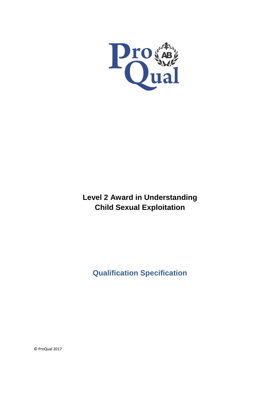

# **Level 2 Award in Understanding Child Sexual Exploitation**

**Qualification Specification**

© ProQual 2017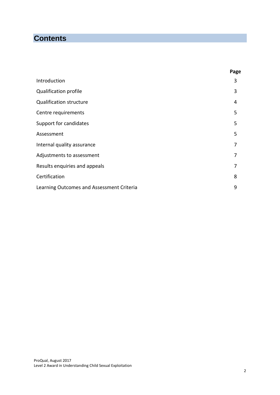## **Contents**

|                                           | Page |
|-------------------------------------------|------|
| Introduction                              | 3    |
| <b>Qualification profile</b>              | 3    |
| <b>Qualification structure</b>            | 4    |
| Centre requirements                       | 5    |
| Support for candidates                    | 5    |
| Assessment                                | 5    |
| Internal quality assurance                | 7    |
| Adjustments to assessment                 | 7    |
| Results enquiries and appeals             | 7    |
| Certification                             | 8    |
| Learning Outcomes and Assessment Criteria | 9    |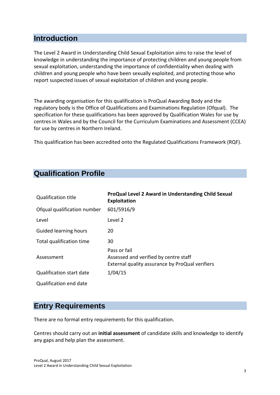### **Introduction**

The Level 2 Award in Understanding Child Sexual Exploitation aims to raise the level of knowledge in understanding the importance of protecting children and young people from sexual exploitation, understanding the importance of confidentiality when dealing with children and young people who have been sexually exploited, and protecting those who report suspected issues of sexual exploitation of children and young people.

The awarding organisation for this qualification is ProQual Awarding Body and the regulatory body is the Office of Qualifications and Examinations Regulation (Ofqual). The specification for these qualifications has been approved by Qualification Wales for use by centres in Wales and by the Council for the Curriculum Examinations and Assessment (CCEA) for use by centres in Northern Ireland.

This qualification has been accredited onto the Regulated Qualifications Framework (RQF).

## **Qualification Profile**

| <b>Qualification title</b>      | ProQual Level 2 Award in Understanding Child Sexual<br><b>Exploitation</b>                               |
|---------------------------------|----------------------------------------------------------------------------------------------------------|
| Ofqual qualification number     | 601/5916/9                                                                                               |
| Level                           | Level 2                                                                                                  |
| <b>Guided learning hours</b>    | 20                                                                                                       |
| Total qualification time        | 30                                                                                                       |
| Assessment                      | Pass or fail<br>Assessed and verified by centre staff<br>External quality assurance by ProQual verifiers |
| <b>Qualification start date</b> | 1/04/15                                                                                                  |
| Qualification end date          |                                                                                                          |

### **Entry Requirements**

There are no formal entry requirements for this qualification.

Centres should carry out an **initial assessment** of candidate skills and knowledge to identify any gaps and help plan the assessment.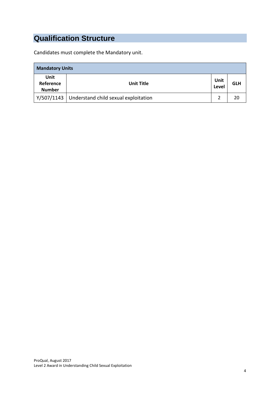# **Qualification Structure**

Candidates must complete the Mandatory unit.

| <b>Mandatory Units</b>             |                                      |               |            |  |
|------------------------------------|--------------------------------------|---------------|------------|--|
| Unit<br>Reference<br><b>Number</b> | <b>Unit Title</b>                    | Unit<br>Level | <b>GLH</b> |  |
| Y/507/1143                         | Understand child sexual exploitation | 2             | 20         |  |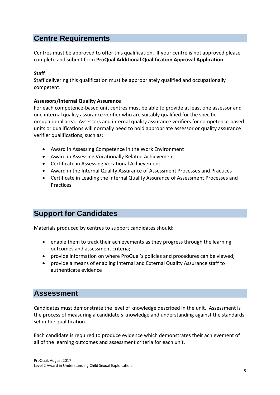### **Centre Requirements**

Centres must be approved to offer this qualification. If your centre is not approved please complete and submit form **ProQual Additional Qualification Approval Application**.

#### **Staff**

Staff delivering this qualification must be appropriately qualified and occupationally competent.

#### **Assessors/Internal Quality Assurance**

For each competence-based unit centres must be able to provide at least one assessor and one internal quality assurance verifier who are suitably qualified for the specific occupational area. Assessors and internal quality assurance verifiers for competence-based units or qualifications will normally need to hold appropriate assessor or quality assurance verifier qualifications, such as:

- Award in Assessing Competence in the Work Environment
- Award in Assessing Vocationally Related Achievement
- Certificate in Assessing Vocational Achievement
- Award in the Internal Quality Assurance of Assessment Processes and Practices
- Certificate in Leading the Internal Quality Assurance of Assessment Processes and Practices

### **Support for Candidates**

Materials produced by centres to support candidates should:

- enable them to track their achievements as they progress through the learning outcomes and assessment criteria;
- provide information on where ProQual's policies and procedures can be viewed;
- provide a means of enabling Internal and External Quality Assurance staff to authenticate evidence

#### **Assessment**

Candidates must demonstrate the level of knowledge described in the unit. Assessment is the process of measuring a candidate's knowledge and understanding against the standards set in the qualification.

Each candidate is required to produce evidence which demonstrates their achievement of all of the learning outcomes and assessment criteria for each unit.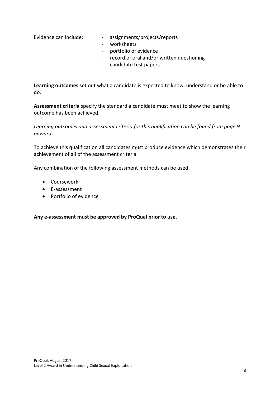- Evidence can include: assignments/projects/reports
	- worksheets
	- portfolio of evidence
	- record of oral and/or written questioning
	- candidate test papers

**Learning outcomes** set out what a candidate is expected to know, understand or be able to do.

**Assessment criteria** specify the standard a candidate must meet to show the learning outcome has been achieved.

*Learning outcomes and assessment criteria for this qualification can be found from page 9 onwards.*

To achieve this qualification all candidates must produce evidence which demonstrates their achievement of all of the assessment criteria.

Any combination of the following assessment methods can be used:

- Coursework
- E-assessment
- Portfolio of evidence

**Any e-assessment must be approved by ProQual prior to use.**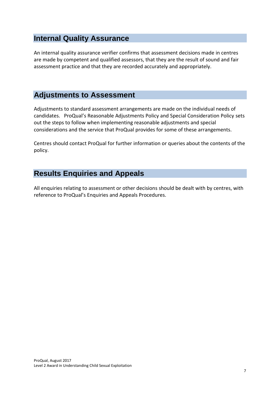### **Internal Quality Assurance**

An internal quality assurance verifier confirms that assessment decisions made in centres are made by competent and qualified assessors, that they are the result of sound and fair assessment practice and that they are recorded accurately and appropriately.

## **Adjustments to Assessment**

Adjustments to standard assessment arrangements are made on the individual needs of candidates. ProQual's Reasonable Adjustments Policy and Special Consideration Policy sets out the steps to follow when implementing reasonable adjustments and special considerations and the service that ProQual provides for some of these arrangements.

Centres should contact ProQual for further information or queries about the contents of the policy.

## **Results Enquiries and Appeals**

All enquiries relating to assessment or other decisions should be dealt with by centres, with reference to ProQual's Enquiries and Appeals Procedures.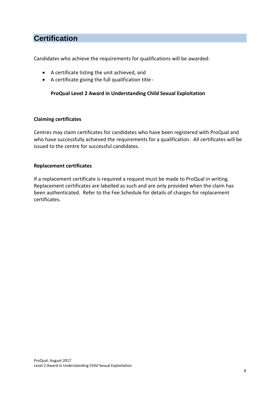### **Certification**

Candidates who achieve the requirements for qualifications will be awarded:

- A certificate listing the unit achieved, and
- A certificate giving the full qualification title -

#### **ProQual Level 2 Award in Understanding Child Sexual Exploitation**

#### **Claiming certificates**

Centres may claim certificates for candidates who have been registered with ProQual and who have successfully achieved the requirements for a qualification. All certificates will be issued to the centre for successful candidates.

#### **Replacement certificates**

If a replacement certificate is required a request must be made to ProQual in writing. Replacement certificates are labelled as such and are only provided when the claim has been authenticated. Refer to the Fee Schedule for details of charges for replacement certificates.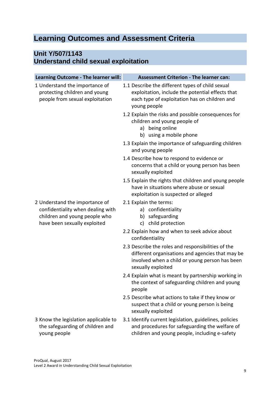## **Learning Outcomes and Assessment Criteria**

### **Unit Y/507/1143 Understand child sexual exploitation**

| Learning Outcome - The learner will:                                                                                                 | <b>Assessment Criterion - The learner can:</b>                                                                                                                                 |
|--------------------------------------------------------------------------------------------------------------------------------------|--------------------------------------------------------------------------------------------------------------------------------------------------------------------------------|
| 1 Understand the importance of<br>protecting children and young<br>people from sexual exploitation                                   | 1.1 Describe the different types of child sexual<br>exploitation, include the potential effects that<br>each type of exploitation has on children and<br>young people          |
|                                                                                                                                      | 1.2 Explain the risks and possible consequences for<br>children and young people of<br>being online<br>a)<br>b) using a mobile phone                                           |
|                                                                                                                                      | 1.3 Explain the importance of safeguarding children<br>and young people                                                                                                        |
|                                                                                                                                      | 1.4 Describe how to respond to evidence or<br>concerns that a child or young person has been<br>sexually exploited                                                             |
|                                                                                                                                      | 1.5 Explain the rights that children and young people<br>have in situations where abuse or sexual<br>exploitation is suspected or alleged                                      |
| 2 Understand the importance of<br>confidentiality when dealing with<br>children and young people who<br>have been sexually exploited | 2.1 Explain the terms:<br>a) confidentiality<br>b) safeguarding<br>child protection<br>c)                                                                                      |
|                                                                                                                                      | 2.2 Explain how and when to seek advice about<br>confidentiality                                                                                                               |
|                                                                                                                                      | 2.3 Describe the roles and responsibilities of the<br>different organisations and agencies that may be<br>involved when a child or young person has been<br>sexually exploited |
|                                                                                                                                      | 2.4 Explain what is meant by partnership working in<br>the context of safeguarding children and young<br>people                                                                |
|                                                                                                                                      | 2.5 Describe what actions to take if they know or<br>suspect that a child or young person is being<br>sexually exploited                                                       |
| 3 Know the legislation applicable to<br>the safeguarding of children and<br>young people                                             | 3.1 Identify current legislation, guidelines, policies<br>and procedures for safeguarding the welfare of<br>children and young people, including e-safety                      |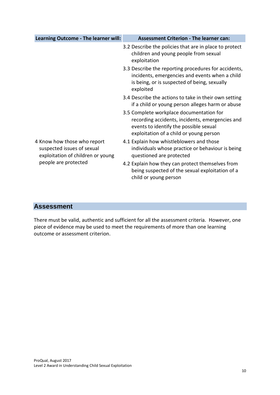| Learning Outcome - The learner will:                                                                                   | <b>Assessment Criterion - The learner can:</b>                                                                                                                                   |
|------------------------------------------------------------------------------------------------------------------------|----------------------------------------------------------------------------------------------------------------------------------------------------------------------------------|
|                                                                                                                        | 3.2 Describe the policies that are in place to protect<br>children and young people from sexual<br>exploitation                                                                  |
|                                                                                                                        | 3.3 Describe the reporting procedures for accidents,<br>incidents, emergencies and events when a child<br>is being, or is suspected of being, sexually<br>exploited              |
|                                                                                                                        | 3.4 Describe the actions to take in their own setting<br>if a child or young person alleges harm or abuse                                                                        |
|                                                                                                                        | 3.5 Complete workplace documentation for<br>recording accidents, incidents, emergencies and<br>events to identify the possible sexual<br>exploitation of a child or young person |
| 4 Know how those who report<br>suspected issues of sexual<br>exploitation of children or young<br>people are protected | 4.1 Explain how whistleblowers and those<br>individuals whose practice or behaviour is being<br>questioned are protected                                                         |
|                                                                                                                        | 4.2 Explain how they can protect themselves from<br>being suspected of the sexual exploitation of a<br>child or young person                                                     |

#### **Assessment**

There must be valid, authentic and sufficient for all the assessment criteria. However, one piece of evidence may be used to meet the requirements of more than one learning outcome or assessment criterion.